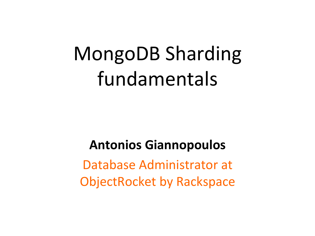# MongoDB Sharding fundamentals

#### **Antonios Giannopoulos**

Database Administrator at **ObjectRocket by Rackspace**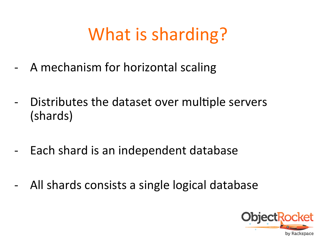## What is sharding?

- A mechanism for horizontal scaling
- Distributes the dataset over multiple servers (shards)
- Each shard is an independent database
- All shards consists a single logical database

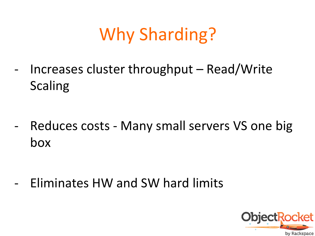## Why Sharding?

- Increases cluster throughput - Read/Write Scaling 

- Reduces costs - Many small servers VS one big box 

Eliminates HW and SW hard limits

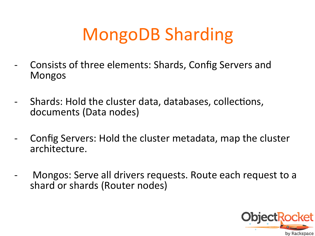## MongoDB Sharding

- Consists of three elements: Shards, Config Servers and Mongos
- Shards: Hold the cluster data, databases, collections, documents (Data nodes)
- Config Servers: Hold the cluster metadata, map the cluster architecture.
- Mongos: Serve all drivers requests. Route each request to a shard or shards (Router nodes)

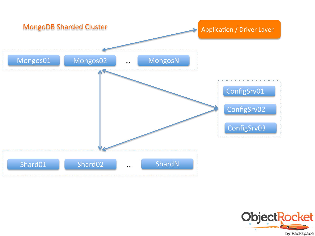

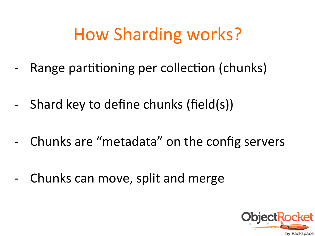## How Sharding works?

- Range partitioning per collection (chunks)
- Shard key to define chunks (field(s))
- Chunks are "metadata" on the config servers
- Chunks can move, split and merge

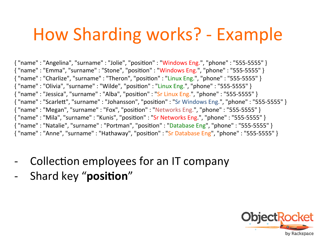### How Sharding works? - Example

{ "name" : "Angelina", "surname" : "Jolie", "position" : "Windows Eng.", "phone" : "555-5555" } { "name" : "Emma", "surname" : "Stone", "position" : "Windows Eng.", "phone" : "555-5555" }  $\{$  "name" : "Charlize", "surname" : "Theron", "position" : "Linux Eng.", "phone" : "555-5555" }  $\{$  "name" : "Olivia", "surname" : "Wilde", "position" : "Linux Eng.", "phone" : "555-5555"  $\}$ { "name" : "Jessica", "surname" : "Alba", "position" : "Sr Linux Eng.", "phone" : "555-5555" }  $\{$  "name" : "Scarlett", "surname" : "Johansson", "position" : "Sr Windows Eng.", "phone" : "555-5555" }  $\{$  "name" : "Megan", "surname" : "Fox", "position" : "Networks Eng.", "phone" : "555-5555" }  $\{$  "name" : "Mila", "surname" : "Kunis", "position" : "Sr Networks Eng.", "phone" : "555-5555" } { "name" : "Natalie", "surname" : "Portman", "position" : "Database Eng", "phone" : "555-5555" } { "name" : "Anne", "surname" : "Hathaway", "position" : "Sr Database Eng", "phone" : "555-5555" }

- Collection employees for an IT company
- Shard key "position"

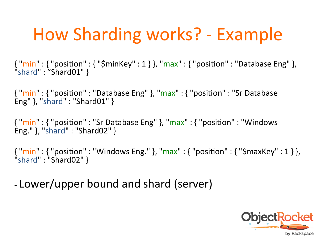## How Sharding works? - Example

 $\{$  "min" :  $\{$  "position" :  $\{$  " $\sf Sminkey$ " :  $\{$   $\}$ , "max" :  $\{$  "position" : "Database Eng"  $\}$ , "shard": "Shard01" }

 $\{$  "min" :  $\{$  "position" : "Database Eng" }, "max" :  $\{$  "position" : "Sr Database Eng"  $\}$ , "shard" : "Shard01"  $\}$ 

{ "min" : { "position" : "Sr Database Eng" }, "max" : { "position" : "Windows Eng." }, "shard" : "Shard02" }

 $\{$  "min" :  $\{$  "position" : "Windows Eng." }, "max" :  $\{$  "position" :  $\{$  "\$maxKey" : 1  $\}$  }, "shard" : "Shard02" } 

- Lower/upper bound and shard (server)

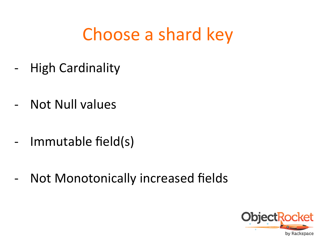#### Choose a shard key

- High Cardinality
- Not Null values
- Immutable field(s)
- Not Monotonically increased fields

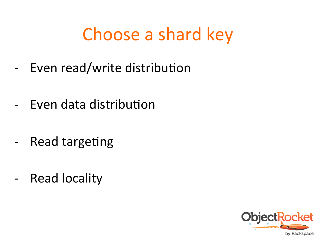#### Choose a shard key

- Even read/write distribution
- Even data distribution
- Read targeting
- Read locality

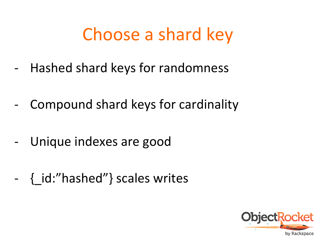#### Choose a shard key

- Hashed shard keys for randomness
- Compound shard keys for cardinality
- Unique indexes are good
- { id:"hashed"} scales writes

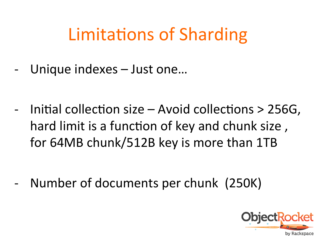### Limitations of Sharding

Unique indexes – Just one...

Initial collection size  $-$  Avoid collections  $>$  256G, hard limit is a function of key and chunk size, for 64MB chunk/512B key is more than 1TB

Number of documents per chunk (250K)

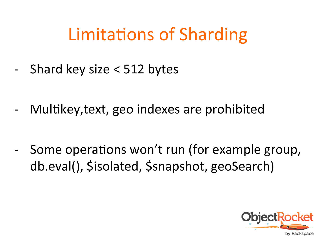#### Limitations of Sharding

Shard key size  $<$  512 bytes

- Multikey, text, geo indexes are prohibited

- Some operations won't run (for example group, db.eval(), Sisolated, Ssnapshot, geoSearch)

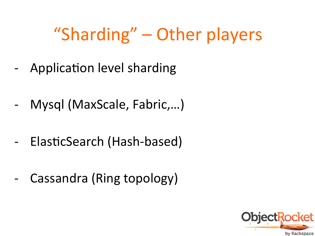## "Sharding" – Other players

- Application level sharding
- Mysql (MaxScale, Fabric,...)
- ElasticSearch (Hash-based)
- Cassandra (Ring topology)

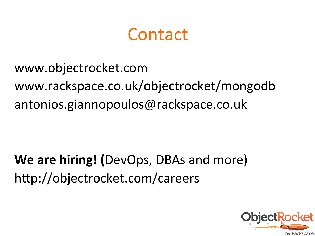#### Contact

www.objectrocket.com www.rackspace.co.uk/objectrocket/mongodb antonios.giannopoulos@rackspace.co.uk 

**We are hiring!** (DevOps, DBAs and more) http://objectrocket.com/careers